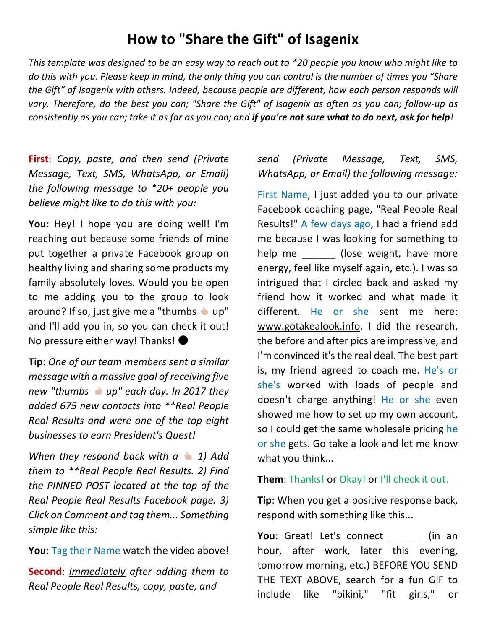# **How to "Share the Gift" of Isagenix**

*This template was designed to be an easy way to reach out to \*20 people you know who might like to do this with you. Please keep in mind, the only thing you can control is the number of times you "Share the Gift" of Isagenix with others. Indeed, because people are different, how each person responds will vary. Therefore, do the best you can; "Share the Gift" of Isagenix as often as you can; follow-up as consistently as you can; take it as far as you can; and if you're not sure what to do next, ask for help!*

**First**: *Copy, paste, and then send (Private Message, Text, SMS, WhatsApp, or Email) the following message to \*20+ people you believe might like to do this with you:*

**You**: Hey! I hope you are doing well! I'm reaching out because some friends of mine put together a private Facebook group on healthy living and sharing some products my family absolutely loves. Would you be open to me adding you to the group to look around? If so, just give me a "thumbs  $\bullet$  up" and I'll add you in, so you can check it out! No pressure either way! Thanks!  $\bullet$ 

**Tip**: *One of our team members sent a similar message with a massive goal of receiving five new "thumbs up" each day. In 2017 they added 675 new contacts into \*\*Real People Real Results and were one of the top eight businesses to earn President's Quest!*

*When they respond back with a 1) Add them to \*\*Real People Real Results. 2) Find the PINNED POST located at the top of the Real People Real Results Facebook page. 3) Click on Comment and tag them... Something simple like this:*

**You**: Tag their Name watch the video above!

**Second**: *Immediately after adding them to Real People Real Results, copy, paste, and*

# *send (Private Message, Text, SMS, WhatsApp, or Email) the following message:*

First Name, I just added you to our private Facebook coaching page, "Real People Real Results!" A few days ago, I had a friend add me because I was looking for something to help me \_\_\_\_\_\_ (lose weight, have more energy, feel like myself again, etc.). I was so intrigued that I circled back and asked my friend how it worked and what made it different. He or she sent me here: www.gotakealook.info. I did the research, the before and after pics are impressive, and I'm convinced it's the real deal. The best part is, my friend agreed to coach me. He's or she's worked with loads of people and doesn't charge anything! He or she even showed me how to set up my own account, so I could get the same wholesale pricing he or she gets. Go take a look and let me know what you think...

#### **Them**: Thanks! or Okay! or I'll check it out.

**Tip**: When you get a positive response back, respond with something like this...

**You**: Great! Let's connect (in an hour, after work, later this evening, tomorrow morning, etc.) BEFORE YOU SEND THE TEXT ABOVE, search for a fun GIF to include like "bikini," "fit girls," or